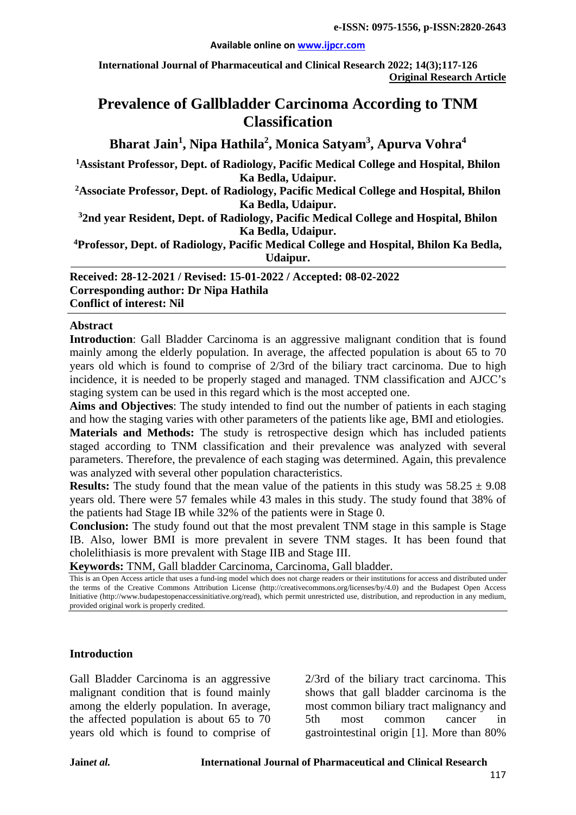#### **Available online on [www.ijpcr.com](http://www.ijpcr.com/)**

**International Journal of Pharmaceutical and Clinical Research 2022; 14(3);117-126 Original Research Article**

# **Prevalence of Gallbladder Carcinoma According to TNM Classification**

**Bharat Jain<sup>1</sup> , Nipa Hathila2 , Monica Satyam3 , Apurva Vohra<sup>4</sup>**

**1 Assistant Professor, Dept. of Radiology, Pacific Medical College and Hospital, Bhilon Ka Bedla, Udaipur.**

**2Associate Professor, Dept. of Radiology, Pacific Medical College and Hospital, Bhilon Ka Bedla, Udaipur.**

**3 2nd year Resident, Dept. of Radiology, Pacific Medical College and Hospital, Bhilon Ka Bedla, Udaipur.**

**4Professor, Dept. of Radiology, Pacific Medical College and Hospital, Bhilon Ka Bedla, Udaipur.**

**Received: 28-12-2021 / Revised: 15-01-2022 / Accepted: 08-02-2022 Corresponding author: Dr Nipa Hathila Conflict of interest: Nil**

#### **Abstract**

**Introduction**: Gall Bladder Carcinoma is an aggressive malignant condition that is found mainly among the elderly population. In average, the affected population is about 65 to 70 years old which is found to comprise of 2/3rd of the biliary tract carcinoma. Due to high incidence, it is needed to be properly staged and managed. TNM classification and AJCC's staging system can be used in this regard which is the most accepted one.

**Aims and Objectives**: The study intended to find out the number of patients in each staging and how the staging varies with other parameters of the patients like age, BMI and etiologies.

**Materials and Methods:** The study is retrospective design which has included patients staged according to TNM classification and their prevalence was analyzed with several parameters. Therefore, the prevalence of each staging was determined. Again, this prevalence was analyzed with several other population characteristics.

**Results:** The study found that the mean value of the patients in this study was  $58.25 \pm 9.08$ years old. There were 57 females while 43 males in this study. The study found that 38% of the patients had Stage IB while 32% of the patients were in Stage 0.

**Conclusion:** The study found out that the most prevalent TNM stage in this sample is Stage IB. Also, lower BMI is more prevalent in severe TNM stages. It has been found that cholelithiasis is more prevalent with Stage IIB and Stage III.

**Keywords:** TNM, Gall bladder Carcinoma, Carcinoma, Gall bladder.

This is an Open Access article that uses a fund-ing model which does not charge readers or their institutions for access and distributed under the terms of the Creative Commons Attribution License (http://creativecommons.org/licenses/by/4.0) and the Budapest Open Access Initiative (http://www.budapestopenaccessinitiative.org/read), which permit unrestricted use, distribution, and reproduction in any medium, provided original work is properly credited.

#### **Introduction**

Gall Bladder Carcinoma is an aggressive malignant condition that is found mainly among the elderly population. In average, the affected population is about 65 to 70 years old which is found to comprise of 2/3rd of the biliary tract carcinoma. This shows that gall bladder carcinoma is the most common biliary tract malignancy and 5th most common cancer in gastrointestinal origin [1]. More than 80%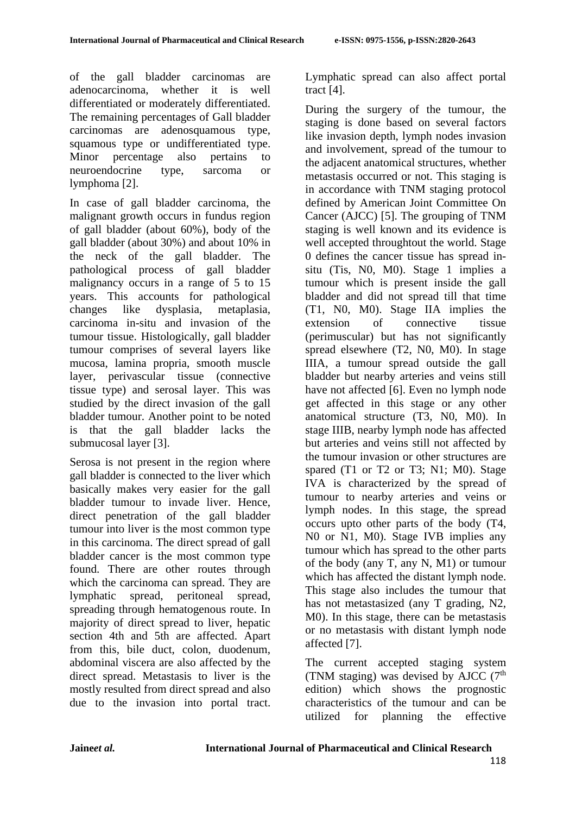of the gall bladder carcinomas are adenocarcinoma, whether it is well differentiated or moderately differentiated. The remaining percentages of Gall bladder carcinomas are adenosquamous type, squamous type or undifferentiated type. Minor percentage also pertains to neuroendocrine type, sarcoma or lymphoma [2].

In case of gall bladder carcinoma, the malignant growth occurs in fundus region of gall bladder (about 60%), body of the gall bladder (about 30%) and about 10% in the neck of the gall bladder. The pathological process of gall bladder malignancy occurs in a range of 5 to 15 years. This accounts for pathological changes like dysplasia, metaplasia, carcinoma in-situ and invasion of the tumour tissue. Histologically, gall bladder tumour comprises of several layers like mucosa, lamina propria, smooth muscle layer, perivascular tissue (connective tissue type) and serosal layer. This was studied by the direct invasion of the gall bladder tumour. Another point to be noted is that the gall bladder lacks the submucosal layer [3].

Serosa is not present in the region where gall bladder is connected to the liver which basically makes very easier for the gall bladder tumour to invade liver. Hence, direct penetration of the gall bladder tumour into liver is the most common type in this carcinoma. The direct spread of gall bladder cancer is the most common type found. There are other routes through which the carcinoma can spread. They are lymphatic spread, peritoneal spread, spreading through hematogenous route. In majority of direct spread to liver, hepatic section 4th and 5th are affected. Apart from this, bile duct, colon, duodenum, abdominal viscera are also affected by the direct spread. Metastasis to liver is the mostly resulted from direct spread and also due to the invasion into portal tract.

Lymphatic spread can also affect portal tract [4].

During the surgery of the tumour, the staging is done based on several factors like invasion depth, lymph nodes invasion and involvement, spread of the tumour to the adjacent anatomical structures, whether metastasis occurred or not. This staging is in accordance with TNM staging protocol defined by American Joint Committee On Cancer (AJCC) [5]. The grouping of TNM staging is well known and its evidence is well accepted throughtout the world. Stage 0 defines the cancer tissue has spread insitu (Tis, N0, M0). Stage 1 implies a tumour which is present inside the gall bladder and did not spread till that time (T1, N0, M0). Stage IIA implies the extension of connective tissue (perimuscular) but has not significantly spread elsewhere (T2, N0, M0). In stage IIIA, a tumour spread outside the gall bladder but nearby arteries and veins still have not affected [6]. Even no lymph node get affected in this stage or any other anatomical structure (T3, N0, M0). In stage IIIB, nearby lymph node has affected but arteries and veins still not affected by the tumour invasion or other structures are spared (T1 or T2 or T3; N1; M0). Stage IVA is characterized by the spread of tumour to nearby arteries and veins or lymph nodes. In this stage, the spread occurs upto other parts of the body (T4, N0 or N1, M0). Stage IVB implies any tumour which has spread to the other parts of the body (any T, any N, M1) or tumour which has affected the distant lymph node. This stage also includes the tumour that has not metastasized (any T grading, N2, M0). In this stage, there can be metastasis or no metastasis with distant lymph node affected [7].

The current accepted staging system (TNM staging) was devised by AJCC  $(7<sup>th</sup>$ edition) which shows the prognostic characteristics of the tumour and can be utilized for planning the effective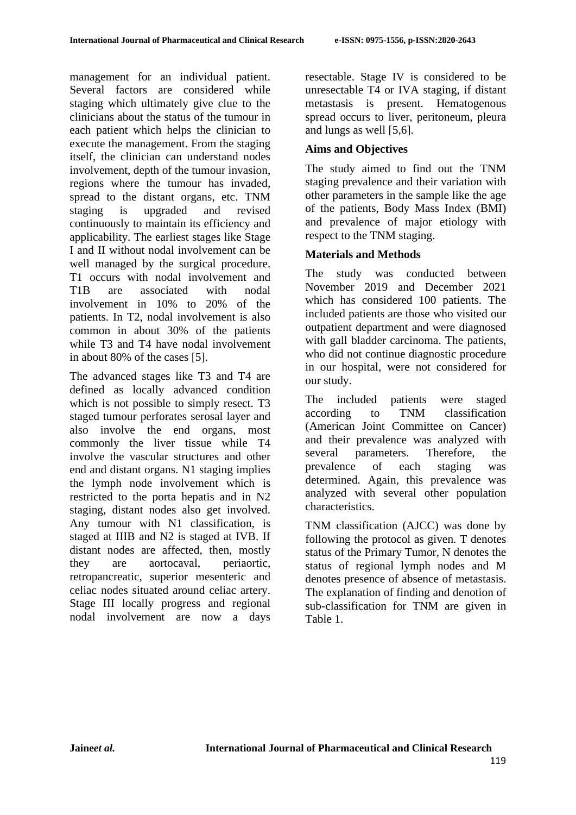management for an individual patient. Several factors are considered while staging which ultimately give clue to the clinicians about the status of the tumour in each patient which helps the clinician to execute the management. From the staging itself, the clinician can understand nodes involvement, depth of the tumour invasion, regions where the tumour has invaded, spread to the distant organs, etc. TNM staging is upgraded and revised continuously to maintain its efficiency and applicability. The earliest stages like Stage I and II without nodal involvement can be well managed by the surgical procedure. T1 occurs with nodal involvement and T1B are associated with nodal involvement in 10% to 20% of the patients. In T2, nodal involvement is also common in about 30% of the patients while T3 and T4 have nodal involvement in about 80% of the cases [5].

The advanced stages like T3 and T4 are defined as locally advanced condition which is not possible to simply resect. T3 staged tumour perforates serosal layer and also involve the end organs, most commonly the liver tissue while T4 involve the vascular structures and other end and distant organs. N1 staging implies the lymph node involvement which is restricted to the porta hepatis and in N2 staging, distant nodes also get involved. Any tumour with N1 classification, is staged at IIIB and N2 is staged at IVB. If distant nodes are affected, then, mostly they are aortocaval, periaortic, retropancreatic, superior mesenteric and celiac nodes situated around celiac artery. Stage III locally progress and regional nodal involvement are now a days resectable. Stage IV is considered to be unresectable T4 or IVA staging, if distant metastasis is present. Hematogenous spread occurs to liver, peritoneum, pleura and lungs as well [5,6].

## **Aims and Objectives**

The study aimed to find out the TNM staging prevalence and their variation with other parameters in the sample like the age of the patients, Body Mass Index (BMI) and prevalence of major etiology with respect to the TNM staging.

## **Materials and Methods**

The study was conducted between November 2019 and December 2021 which has considered 100 patients. The included patients are those who visited our outpatient department and were diagnosed with gall bladder carcinoma. The patients, who did not continue diagnostic procedure in our hospital, were not considered for our study.

The included patients were staged according to TNM classification (American Joint Committee on Cancer) and their prevalence was analyzed with several parameters. Therefore, the prevalence of each staging was determined. Again, this prevalence was analyzed with several other population characteristics.

TNM classification (AJCC) was done by following the protocol as given. T denotes status of the Primary Tumor, N denotes the status of regional lymph nodes and M denotes presence of absence of metastasis. The explanation of finding and denotion of sub-classification for TNM are given in Table 1.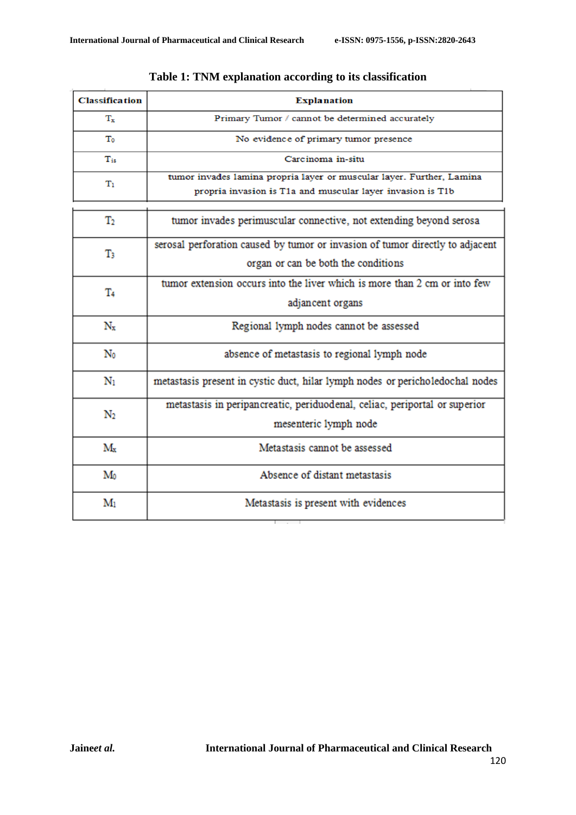| <b>Classification</b> | <b>Explanation</b>                                                                                                                  |  |  |
|-----------------------|-------------------------------------------------------------------------------------------------------------------------------------|--|--|
| T.                    | Primary Tumor / cannot be determined accurately                                                                                     |  |  |
| Тo                    | No evidence of primary tumor presence                                                                                               |  |  |
| $T_{is}$              | Carcinoma in-situ                                                                                                                   |  |  |
| Tı                    | tumor invades lamina propria layer or muscular layer. Further, Lamina<br>propria invasion is T1a and muscular layer invasion is T1b |  |  |
| $\mathbf{T}_2$        | tumor invades perimuscular connective, not extending beyond serosa                                                                  |  |  |
| T3                    | serosal perforation caused by tumor or invasion of tumor directly to adjacent<br>organ or can be both the conditions                |  |  |
| T4                    | tumor extension occurs into the liver which is more than 2 cm or into few<br>adjancent organs                                       |  |  |
| $N_x$                 | Regional lymph nodes cannot be assessed                                                                                             |  |  |
| No                    | absence of metastasis to regional lymph node                                                                                        |  |  |
| $\mathbf{N}_1$        | metastasis present in cystic duct, hilar lymph nodes or pericholedochal nodes                                                       |  |  |
| $\rm N_2$             | metastasis in peripancreatic, periduodenal, celiac, periportal or superior<br>mesenteric lymph node                                 |  |  |
| $M_{x}$               | Metastasis cannot be assessed                                                                                                       |  |  |
| $\mathbf{M}_0$        | Absence of distant metastasis                                                                                                       |  |  |
| M <sub>1</sub>        | Metastasis is present with evidences                                                                                                |  |  |

## **Table 1: TNM explanation according to its classification**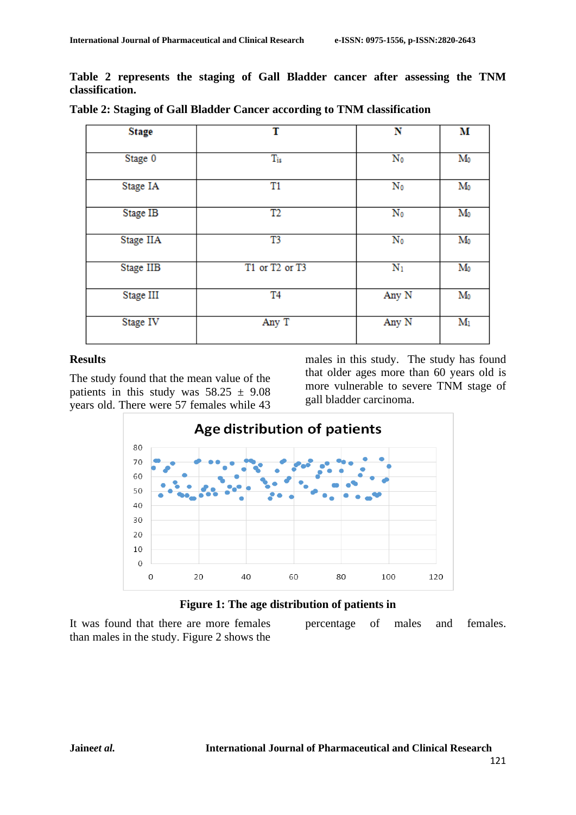**Table 2 represents the staging of Gall Bladder cancer after assessing the TNM classification.** 

| <b>Stage</b> | T              | N                       | М              |
|--------------|----------------|-------------------------|----------------|
| Stage 0      | $T_{is}$       | $\overline{\text{N}_0}$ | $M_0$          |
| Stage IA     | T1             | $\mathbf{N}_0$          | $M_0$          |
| Stage IB     | T2             | $\mathbf{N}_0$          | $M_0$          |
| Stage IIA    | T3             | $\mathbf{N}_0$          | $M_0$          |
| Stage IIB    | T1 or T2 or T3 | $N_1$                   | $M_0$          |
| Stage III    | T <sub>4</sub> | Any N                   | $M_0$          |
| Stage IV     | Any T          | Any N                   | $\mathbf{M}_1$ |

**Table 2: Staging of Gall Bladder Cancer according to TNM classification**

#### **Results**

The study found that the mean value of the patients in this study was  $58.25 \pm 9.08$ years old. There were 57 females while 43

males in this study. The study has found that older ages more than 60 years old is more vulnerable to severe TNM stage of gall bladder carcinoma.

percentage of males and females.



**Figure 1: The age distribution of patients in**

It was found that there are more females than males in the study. Figure 2 shows the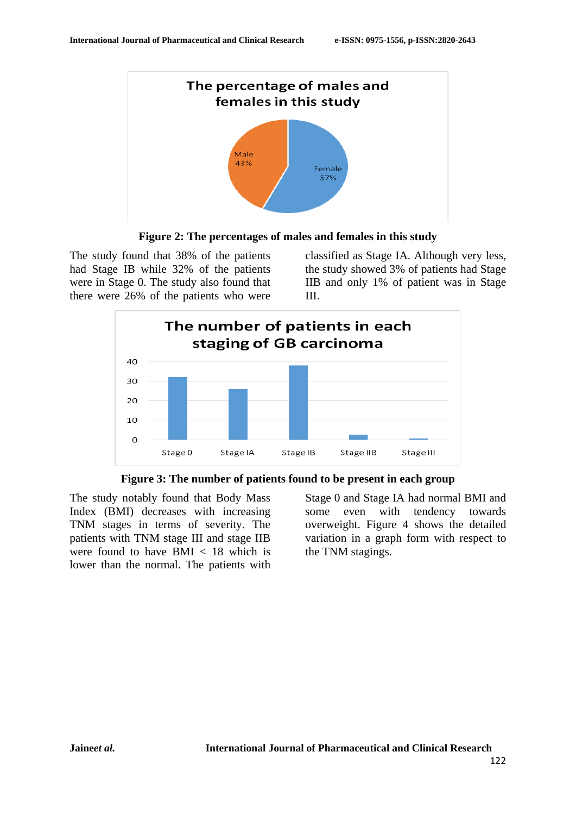

**Figure 2: The percentages of males and females in this study**

The study found that 38% of the patients had Stage IB while 32% of the patients were in Stage 0. The study also found that there were 26% of the patients who were

classified as Stage IA. Although very less, the study showed 3% of patients had Stage IIB and only 1% of patient was in Stage III.





The study notably found that Body Mass Index (BMI) decreases with increasing TNM stages in terms of severity. The patients with TNM stage III and stage IIB were found to have BMI < 18 which is lower than the normal. The patients with

Stage 0 and Stage IA had normal BMI and some even with tendency towards overweight. Figure 4 shows the detailed variation in a graph form with respect to the TNM stagings.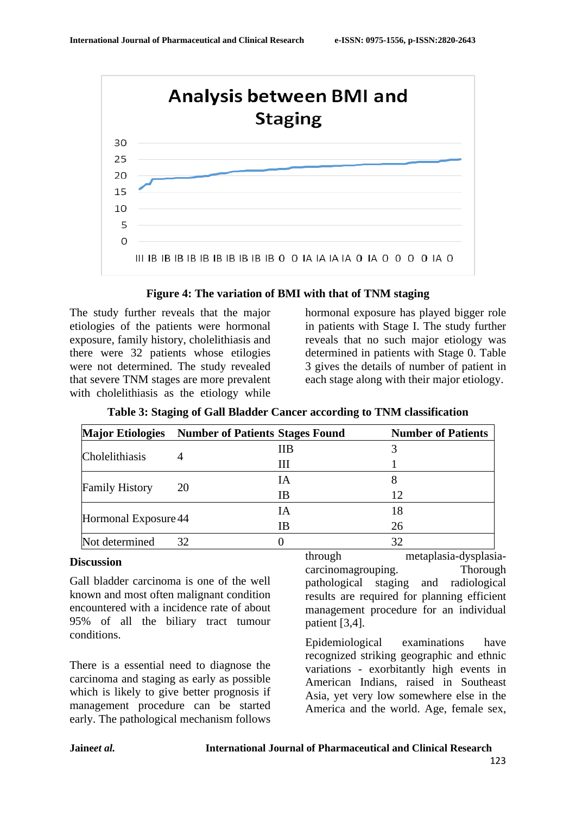

### **Figure 4: The variation of BMI with that of TNM staging**

The study further reveals that the major etiologies of the patients were hormonal exposure, family history, cholelithiasis and there were 32 patients whose etilogies were not determined. The study revealed that severe TNM stages are more prevalent with cholelithiasis as the etiology while

hormonal exposure has played bigger role in patients with Stage I. The study further reveals that no such major etiology was determined in patients with Stage 0. Table 3 gives the details of number of patient in each stage along with their major etiology.

|                       | Major Etiologies Number of Patients Stages Found |    | <b>Number of Patients</b> |
|-----------------------|--------------------------------------------------|----|---------------------------|
| Cholelithiasis        |                                                  | ПB |                           |
|                       |                                                  | Ш  |                           |
|                       | 20                                               | IA |                           |
| <b>Family History</b> |                                                  | IΒ | 12                        |
|                       |                                                  | ĪА | 18                        |
| Hormonal Exposure 44  |                                                  | IΒ | 26                        |
| Not determined        | 32                                               |    | 32                        |

## **Table 3: Staging of Gall Bladder Cancer according to TNM classification**

#### **Discussion**

Gall bladder carcinoma is one of the well known and most often malignant condition encountered with a incidence rate of about 95% of all the biliary tract tumour conditions.

There is a essential need to diagnose the carcinoma and staging as early as possible which is likely to give better prognosis if management procedure can be started early. The pathological mechanism follows

through metaplasia-dysplasiacarcinomagrouping. Thorough pathological staging and radiological results are required for planning efficient management procedure for an individual patient [3,4].

Epidemiological examinations have recognized striking geographic and ethnic variations - exorbitantly high events in American Indians, raised in Southeast Asia, yet very low somewhere else in the America and the world. Age, female sex,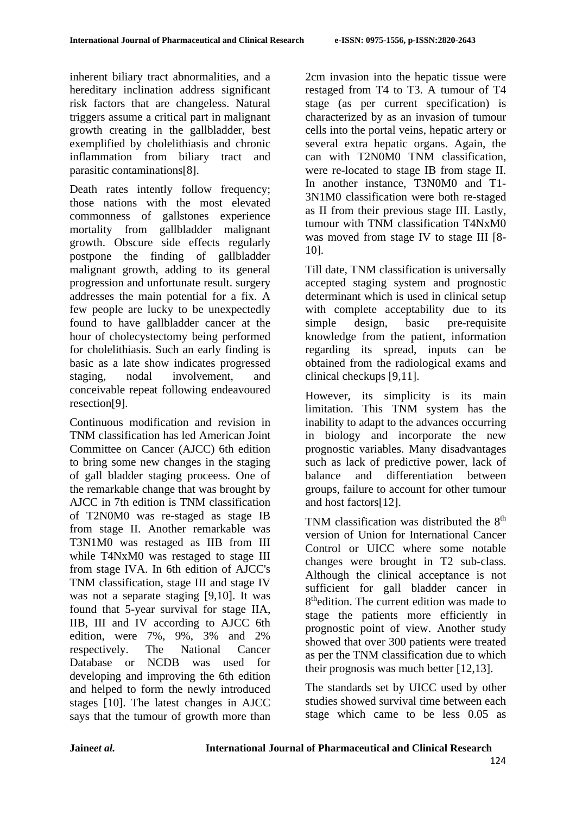inherent biliary tract abnormalities, and a hereditary inclination address significant risk factors that are changeless. Natural triggers assume a critical part in malignant growth creating in the gallbladder, best exemplified by cholelithiasis and chronic inflammation from biliary tract and parasitic contaminations[8].

Death rates intently follow frequency; those nations with the most elevated commonness of gallstones experience mortality from gallbladder malignant growth. Obscure side effects regularly postpone the finding of gallbladder malignant growth, adding to its general progression and unfortunate result. surgery addresses the main potential for a fix. A few people are lucky to be unexpectedly found to have gallbladder cancer at the hour of cholecystectomy being performed for cholelithiasis. Such an early finding is basic as a late show indicates progressed staging, nodal involvement, and conceivable repeat following endeavoured resection[9].

Continuous modification and revision in TNM classification has led American Joint Committee on Cancer (AJCC) 6th edition to bring some new changes in the staging of gall bladder staging proceess. One of the remarkable change that was brought by AJCC in 7th edition is TNM classification of T2N0M0 was re-staged as stage IB from stage II. Another remarkable was T3N1M0 was restaged as IIB from III while T4NxM0 was restaged to stage III from stage IVA. In 6th edition of AJCC's TNM classification, stage III and stage IV was not a separate staging [9,10]. It was found that 5-year survival for stage IIA, IIB, III and IV according to AJCC 6th edition, were 7%, 9%, 3% and 2% respectively. The National Cancer Database or NCDB was used for developing and improving the 6th edition and helped to form the newly introduced stages [10]. The latest changes in AJCC says that the tumour of growth more than 2cm invasion into the hepatic tissue were restaged from T4 to T3. A tumour of T4 stage (as per current specification) is characterized by as an invasion of tumour cells into the portal veins, hepatic artery or several extra hepatic organs. Again, the can with T2N0M0 TNM classification, were re-located to stage IB from stage II. In another instance, T3N0M0 and T1- 3N1M0 classification were both re-staged as II from their previous stage III. Lastly, tumour with TNM classification T4NxM0 was moved from stage IV to stage III [8- 10].

Till date, TNM classification is universally accepted staging system and prognostic determinant which is used in clinical setup with complete acceptability due to its simple design, basic pre-requisite knowledge from the patient, information regarding its spread, inputs can be obtained from the radiological exams and clinical checkups [9,11].

However, its simplicity is its main limitation. This TNM system has the inability to adapt to the advances occurring in biology and incorporate the new prognostic variables. Many disadvantages such as lack of predictive power, lack of balance and differentiation between groups, failure to account for other tumour and host factors[12].

TNM classification was distributed the  $8<sup>th</sup>$ version of Union for International Cancer Control or UICC where some notable changes were brought in T2 sub-class. Although the clinical acceptance is not sufficient for gall bladder cancer in 8<sup>th</sup>edition. The current edition was made to stage the patients more efficiently in prognostic point of view. Another study showed that over 300 patients were treated as per the TNM classification due to which their prognosis was much better [12,13].

The standards set by UICC used by other studies showed survival time between each stage which came to be less 0.05 as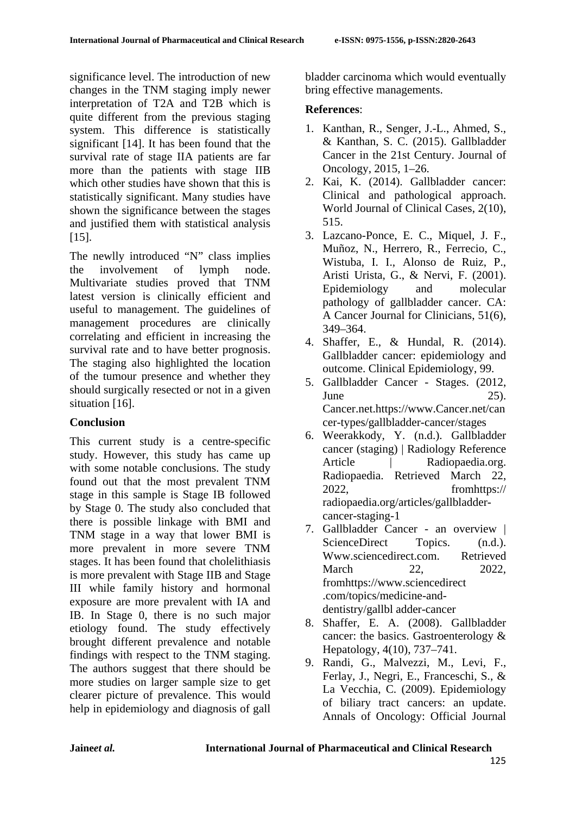significance level. The introduction of new changes in the TNM staging imply newer interpretation of T2A and T2B which is quite different from the previous staging system. This difference is statistically significant [14]. It has been found that the survival rate of stage IIA patients are far more than the patients with stage IIB which other studies have shown that this is statistically significant. Many studies have shown the significance between the stages and justified them with statistical analysis [15].

The newlly introduced "N" class implies the involvement of lymph node. Multivariate studies proved that TNM latest version is clinically efficient and useful to management. The guidelines of management procedures are clinically correlating and efficient in increasing the survival rate and to have better prognosis. The staging also highlighted the location of the tumour presence and whether they should surgically resected or not in a given situation [16].

## **Conclusion**

This current study is a centre-specific study. However, this study has came up with some notable conclusions. The study found out that the most prevalent TNM stage in this sample is Stage IB followed by Stage 0. The study also concluded that there is possible linkage with BMI and TNM stage in a way that lower BMI is more prevalent in more severe TNM stages. It has been found that cholelithiasis is more prevalent with Stage IIB and Stage III while family history and hormonal exposure are more prevalent with IA and IB. In Stage 0, there is no such major etiology found. The study effectively brought different prevalence and notable findings with respect to the TNM staging. The authors suggest that there should be more studies on larger sample size to get clearer picture of prevalence. This would help in epidemiology and diagnosis of gall

bladder carcinoma which would eventually bring effective managements.

## **References**:

- 1. Kanthan, R., Senger, J.-L., Ahmed, S., & Kanthan, S. C. (2015). Gallbladder Cancer in the 21st Century. Journal of Oncology, 2015, 1–26.
- 2. Kai, K. (2014). Gallbladder cancer: Clinical and pathological approach. World Journal of Clinical Cases, 2(10), 515.
- 3. Lazcano-Ponce, E. C., Miquel, J. F., Muñoz, N., Herrero, R., Ferrecio, C., Wistuba, I. I., Alonso de Ruiz, P., Aristi Urista, G., & Nervi, F. (2001). Epidemiology and molecular pathology of gallbladder cancer. CA: A Cancer Journal for Clinicians, 51(6), 349–364.
- 4. Shaffer, E., & Hundal, R. (2014). Gallbladder cancer: epidemiology and outcome. Clinical Epidemiology, 99.
- 5. Gallbladder Cancer Stages. (2012, June  $25$ ). Cancer.net.https://www.Cancer.net/can cer-types/gallbladder-cancer/stages
- 6. Weerakkody, Y. (n.d.). Gallbladder cancer (staging) | Radiology Reference Article | Radiopaedia.org. Radiopaedia. Retrieved March 22, 2022, fromhttps:// radiopaedia.org/articles/gallbladdercancer-staging-1
- 7. Gallbladder Cancer an overview | ScienceDirect Topics. (n.d.). Www.sciencedirect.com. Retrieved March 22, 2022. fromhttps://www.sciencedirect .com/topics/medicine-anddentistry/gallbl adder-cancer
- 8. Shaffer, E. A. (2008). Gallbladder cancer: the basics. Gastroenterology & Hepatology, 4(10), 737–741.
- 9. Randi, G., Malvezzi, M., Levi, F., Ferlay, J., Negri, E., Franceschi, S., & La Vecchia, C. (2009). Epidemiology of biliary tract cancers: an update. Annals of Oncology: Official Journal